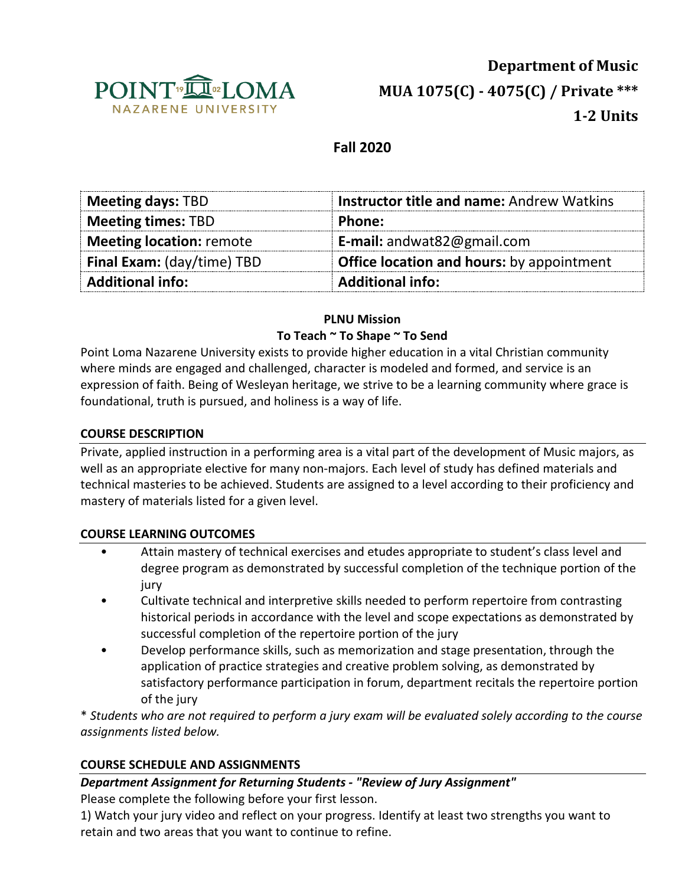

**Department of Music MUA 1075(C) - 4075(C) / Private \*\*\* 1-2 Units**

## **Fall 2020**

| <b>Meeting days: TBD</b>        | <b>Instructor title and name: Andrew Watkins</b> |  |  |
|---------------------------------|--------------------------------------------------|--|--|
| <b>Meeting times: TBD</b>       | Phone:                                           |  |  |
| <b>Meeting location: remote</b> | <b>E-mail:</b> andwat82@gmail.com                |  |  |
| Final Exam: (day/time) TBD      | <b>Office location and hours:</b> by appointment |  |  |
| <b>Additional info:</b>         | <b>Additional info:</b>                          |  |  |

### **PLNU Mission To Teach ~ To Shape ~ To Send**

Point Loma Nazarene University exists to provide higher education in a vital Christian community where minds are engaged and challenged, character is modeled and formed, and service is an expression of faith. Being of Wesleyan heritage, we strive to be a learning community where grace is foundational, truth is pursued, and holiness is a way of life.

### **COURSE DESCRIPTION**

Private, applied instruction in a performing area is a vital part of the development of Music majors, as well as an appropriate elective for many non-majors. Each level of study has defined materials and technical masteries to be achieved. Students are assigned to a level according to their proficiency and mastery of materials listed for a given level.

#### **COURSE LEARNING OUTCOMES**

- Attain mastery of technical exercises and etudes appropriate to student's class level and degree program as demonstrated by successful completion of the technique portion of the jury
- Cultivate technical and interpretive skills needed to perform repertoire from contrasting historical periods in accordance with the level and scope expectations as demonstrated by successful completion of the repertoire portion of the jury
- Develop performance skills, such as memorization and stage presentation, through the application of practice strategies and creative problem solving, as demonstrated by satisfactory performance participation in forum, department recitals the repertoire portion of the jury

\* *Students who are not required to perform a jury exam will be evaluated solely according to the course assignments listed below.*

### **COURSE SCHEDULE AND ASSIGNMENTS**

### *Department Assignment for Returning Students - "Review of Jury Assignment"*

Please complete the following before your first lesson.

1) Watch your jury video and reflect on your progress. Identify at least two strengths you want to retain and two areas that you want to continue to refine.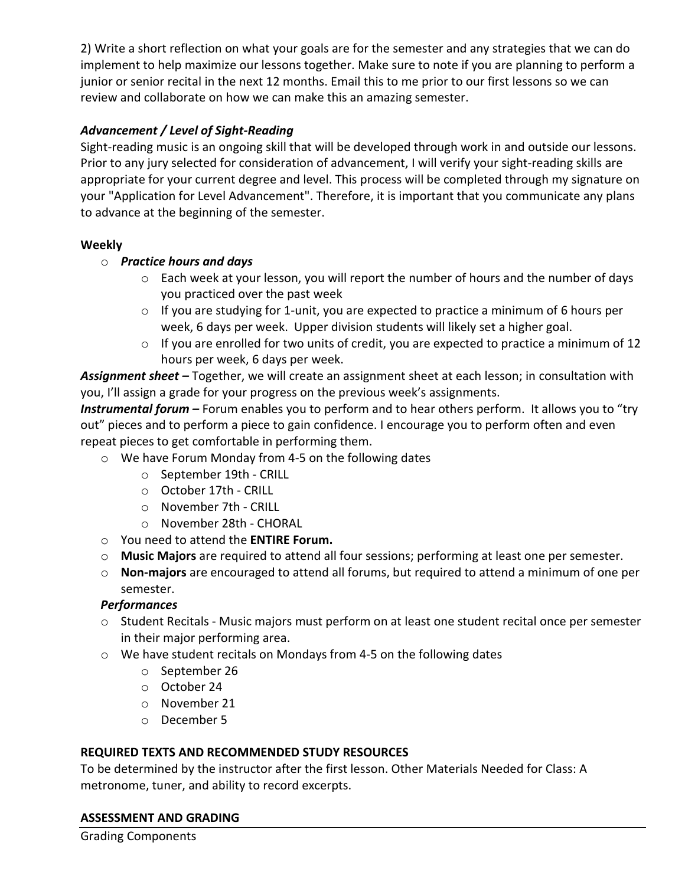2) Write a short reflection on what your goals are for the semester and any strategies that we can do implement to help maximize our lessons together. Make sure to note if you are planning to perform a junior or senior recital in the next 12 months. Email this to me prior to our first lessons so we can review and collaborate on how we can make this an amazing semester.

# *Advancement / Level of Sight-Reading*

Sight-reading music is an ongoing skill that will be developed through work in and outside our lessons. Prior to any jury selected for consideration of advancement, I will verify your sight-reading skills are appropriate for your current degree and level. This process will be completed through my signature on your "Application for Level Advancement". Therefore, it is important that you communicate any plans to advance at the beginning of the semester.

## **Weekly**

- o *Practice hours and days* 
	- o Each week at your lesson, you will report the number of hours and the number of days you practiced over the past week
	- o If you are studying for 1-unit, you are expected to practice a minimum of 6 hours per week, 6 days per week. Upper division students will likely set a higher goal.
	- o If you are enrolled for two units of credit, you are expected to practice a minimum of 12 hours per week, 6 days per week.

*Assignment sheet –* Together, we will create an assignment sheet at each lesson; in consultation with you, I'll assign a grade for your progress on the previous week's assignments.

*Instrumental forum –* Forum enables you to perform and to hear others perform. It allows you to "try out" pieces and to perform a piece to gain confidence. I encourage you to perform often and even repeat pieces to get comfortable in performing them.

- o We have Forum Monday from 4-5 on the following dates
	- o September 19th CRILL
	- o October 17th CRILL
	- o November 7th CRILL
	- o November 28th CHORAL
- o You need to attend the **ENTIRE Forum.**
- o **Music Majors** are required to attend all four sessions; performing at least one per semester.
- o **Non-majors** are encouraged to attend all forums, but required to attend a minimum of one per semester.

# *Performances*

- o Student Recitals Music majors must perform on at least one student recital once per semester in their major performing area.
- o We have student recitals on Mondays from 4-5 on the following dates
	- o September 26
	- o October 24
	- o November 21
	- o December 5

### **REQUIRED TEXTS AND RECOMMENDED STUDY RESOURCES**

To be determined by the instructor after the first lesson. Other Materials Needed for Class: A metronome, tuner, and ability to record excerpts.

### **ASSESSMENT AND GRADING**

Grading Components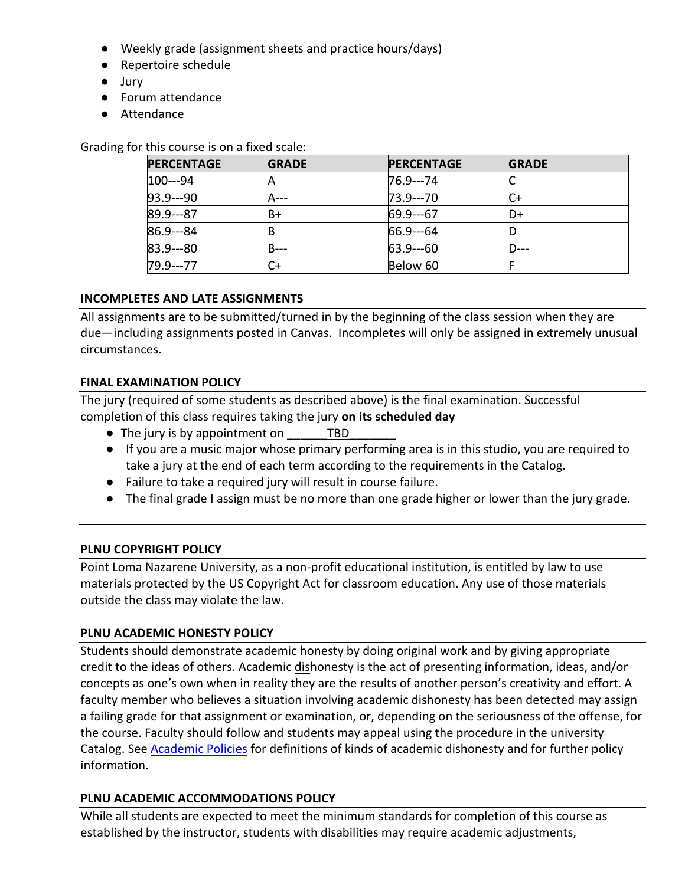- Weekly grade (assignment sheets and practice hours/days)
- Repertoire schedule
- Jury
- Forum attendance
- Attendance

Grading for this course is on a fixed scale:

| <b>PERCENTAGE</b> | <b>GRADE</b> | <b>PERCENTAGE</b> | <b>GRADE</b> |
|-------------------|--------------|-------------------|--------------|
| $100--94$         |              | 76.9---74         |              |
| $93.9--90$        |              | 73.9---70         |              |
| $89.9--87$        | B+           | $69.9 - -67$      | D+           |
| $86.9 - 84$       |              | $66.9 - -64$      |              |
| $83.9--80$        |              | $63.9 - -60$      |              |
| $79.9--77$        | C+           | Below 60          |              |

### **INCOMPLETES AND LATE ASSIGNMENTS**

All assignments are to be submitted/turned in by the beginning of the class session when they are due—including assignments posted in Canvas. Incompletes will only be assigned in extremely unusual circumstances.

#### **FINAL EXAMINATION POLICY**

The jury (required of some students as described above) is the final examination. Successful completion of this class requires taking the jury **on its scheduled day** 

- The jury is by appointment on TBD
- If you are a music major whose primary performing area is in this studio, you are required to take a jury at the end of each term according to the requirements in the Catalog.
- Failure to take a required jury will result in course failure.
- The final grade I assign must be no more than one grade higher or lower than the jury grade.

### **PLNU COPYRIGHT POLICY**

Point Loma Nazarene University, as a non-profit educational institution, is entitled by law to use materials protected by the US Copyright Act for classroom education. Any use of those materials outside the class may violate the law.

### **PLNU ACADEMIC HONESTY POLICY**

Students should demonstrate academic honesty by doing original work and by giving appropriate credit to the ideas of others. Academic dishonesty is the act of presenting information, ideas, and/or concepts as one's own when in reality they are the results of another person's creativity and effort. A faculty member who believes a situation involving academic dishonesty has been detected may assign a failing grade for that assignment or examination, or, depending on the seriousness of the offense, for the course. Faculty should follow and students may appeal using the procedure in the university Catalog. See **Academic Policies** for definitions of kinds of academic dishonesty and for further policy information.

### **PLNU ACADEMIC ACCOMMODATIONS POLICY**

While all students are expected to meet the minimum standards for completion of this course as established by the instructor, students with disabilities may require academic adjustments,